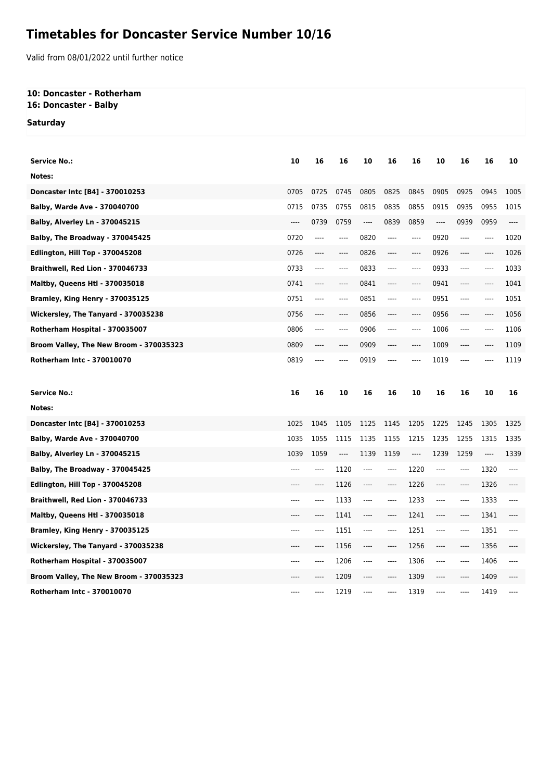## **Timetables for Doncaster Service Number 10/16**

Valid from 08/01/2022 until further notice

## **10: Doncaster - Rotherham 16: Doncaster - Balby**

**Saturday**

| <b>Service No.:</b>                     | 10   | 16       | 16    | 10   | 16    | 16   | 10                            | 16                            | 16   | 10    |
|-----------------------------------------|------|----------|-------|------|-------|------|-------------------------------|-------------------------------|------|-------|
| Notes:                                  |      |          |       |      |       |      |                               |                               |      |       |
| Doncaster Intc [B4] - 370010253         | 0705 | 0725     | 0745  | 0805 | 0825  | 0845 | 0905                          | 0925                          | 0945 | 1005  |
| <b>Balby, Warde Ave - 370040700</b>     | 0715 | 0735     | 0755  | 0815 | 0835  | 0855 | 0915                          | 0935                          | 0955 | 1015  |
| <b>Balby, Alverley Ln - 370045215</b>   | ---- | 0739     | 0759  | ---- | 0839  | 0859 | $---$                         | 0939                          | 0959 | $---$ |
| Balby, The Broadway - 370045425         | 0720 | $---$    | $---$ | 0820 | $---$ | ---- | 0920                          | $---$                         | ---- | 1020  |
| <b>Edlington, Hill Top - 370045208</b>  | 0726 | ----     | ----  | 0826 | ----  | ---- | 0926                          | ----                          | ---- | 1026  |
| Braithwell, Red Lion - 370046733        | 0733 | $\cdots$ | ----  | 0833 | $---$ | ---- | 0933                          | $---$                         | ---- | 1033  |
| <b>Maltby, Queens Htl - 370035018</b>   | 0741 | ----     | ----  | 0841 | ----  | ---- | 0941                          | ----                          | ---- | 1041  |
| Bramley, King Henry - 370035125         | 0751 | $\cdots$ | ----  | 0851 | $---$ | ---- | 0951                          | $---$                         | ---- | 1051  |
| Wickersley, The Tanyard - 370035238     | 0756 | ----     | ----  | 0856 | ----  | ---- | 0956                          | ----                          | ---- | 1056  |
| Rotherham Hospital - 370035007          | 0806 | ----     | ----  | 0906 | $---$ | ---- | 1006                          | $---$                         | ---- | 1106  |
| Broom Valley, The New Broom - 370035323 | 0809 | ----     | ----  | 0909 | ----  | ---- | 1009                          | ----                          | ---- | 1109  |
| Rotherham Intc - 370010070              | 0819 | ----     |       | 0919 |       | ---- | 1019                          | ----                          |      | 1119  |
|                                         |      |          |       |      |       |      |                               |                               |      |       |
|                                         |      |          |       |      |       |      |                               |                               |      |       |
| <b>Service No.:</b>                     | 16   | 16       | 10    | 16   | 16    | 10   | 16                            | 16                            | 10   | 16    |
| Notes:                                  |      |          |       |      |       |      |                               |                               |      |       |
| Doncaster Intc [B4] - 370010253         | 1025 | 1045     | 1105  | 1125 | 1145  | 1205 | 1225                          | 1245                          | 1305 | 1325  |
| <b>Balby, Warde Ave - 370040700</b>     | 1035 | 1055     | 1115  | 1135 | 1155  | 1215 | 1235                          | 1255                          | 1315 | 1335  |
| <b>Balby, Alverley Ln - 370045215</b>   | 1039 | 1059     | ----  | 1139 | 1159  | ---- | 1239                          | 1259                          | ---- | 1339  |
| Balby, The Broadway - 370045425         | ---- | ----     | 1120  | ---- | $---$ | 1220 | $---$                         | ----                          | 1320 | $---$ |
| Edlington, Hill Top - 370045208         | ---- | ----     | 1126  | ---- | ----  | 1226 | ----                          | ----                          | 1326 | ----  |
| Braithwell, Red Lion - 370046733        | ---- | ----     | 1133  | ---- | $---$ | 1233 | $\hspace{1.5cm} \textbf{---}$ | $\hspace{1.5cm} \textbf{---}$ | 1333 | $---$ |
| <b>Maltby, Queens Htl - 370035018</b>   | ---- | ----     | 1141  | ---- | ----  | 1241 | ----                          | $\cdots$                      | 1341 | ----  |
| Bramley, King Henry - 370035125         | ---- | ----     | 1151  | ---- | $---$ | 1251 | $---$                         | $---$                         | 1351 | $---$ |
| Wickersley, The Tanyard - 370035238     | ---- | ----     | 1156  | ---- | $---$ | 1256 | $---$                         | $---$                         | 1356 | $---$ |
| Rotherham Hospital - 370035007          |      | ----     | 1206  | ---- | ----  | 1306 | $---$                         | ----                          | 1406 |       |
| Broom Valley, The New Broom - 370035323 |      |          | 1209  | ---- | ----  | 1309 | ----                          | ----                          | 1409 |       |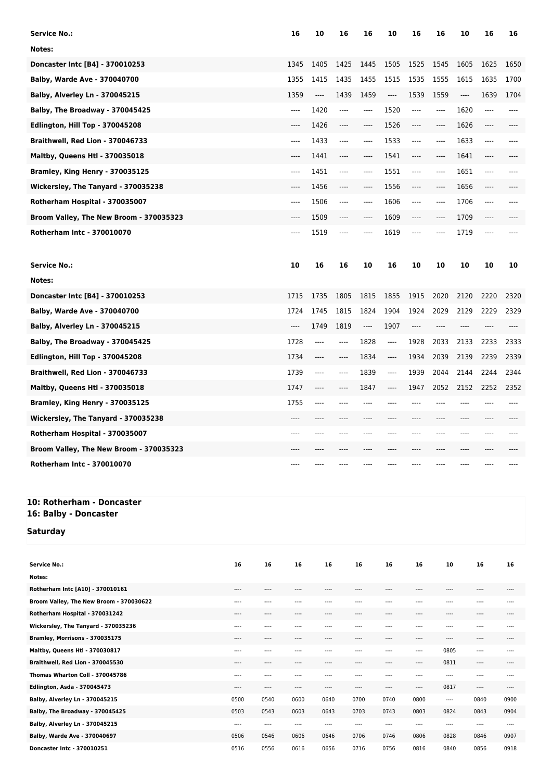| <b>Service No.:</b>                                                   |    |    | 16   | 10    | 16                            | 16   | 10                            | 16    | 16      | 10   | 16      | 16   |
|-----------------------------------------------------------------------|----|----|------|-------|-------------------------------|------|-------------------------------|-------|---------|------|---------|------|
| Notes:                                                                |    |    |      |       |                               |      |                               |       |         |      |         |      |
| Doncaster Intc [B4] - 370010253                                       |    |    | 1345 | 1405  | 1425                          | 1445 | 1505                          | 1525  | 1545    | 1605 | 1625    | 1650 |
| <b>Balby, Warde Ave - 370040700</b>                                   |    |    | 1355 | 1415  | 1435                          | 1455 | 1515                          | 1535  | 1555    | 1615 | 1635    | 1700 |
| <b>Balby, Alverley Ln - 370045215</b>                                 |    |    | 1359 | ----  | 1439                          | 1459 | $\hspace{1.5cm} \textbf{---}$ | 1539  | 1559    | ---- | 1639    | 1704 |
| Balby, The Broadway - 370045425                                       |    |    | ---- | 1420  | ----                          | ---- | 1520                          | ----  | $-----$ | 1620 | $-----$ |      |
| Edlington, Hill Top - 370045208                                       |    |    | ---- | 1426  | ----                          | ---- | 1526                          | ----  | ----    | 1626 | ----    |      |
| Braithwell, Red Lion - 370046733                                      |    |    | ---- | 1433  | $\hspace{1.5cm} \textbf{---}$ | ---- | 1533                          | ----  | $-----$ | 1633 | ----    |      |
| <b>Maltby, Queens Htl - 370035018</b>                                 |    |    | ---- | 1441  | ----                          | ---- | 1541                          | ----  | ----    | 1641 | ----    |      |
| Bramley, King Henry - 370035125                                       |    |    | ---- | 1451  | ----                          | ---- | 1551                          | ----  | $-----$ | 1651 | $-----$ |      |
| Wickersley, The Tanyard - 370035238                                   |    |    | ---- | 1456  | ----                          | ---- | 1556                          | ----  | ----    | 1656 | ----    |      |
| Rotherham Hospital - 370035007                                        |    |    | ---- | 1506  | $\hspace{1.5cm} \textbf{---}$ | ---- | 1606                          | ----  | $-----$ | 1706 | ----    |      |
| Broom Valley, The New Broom - 370035323                               |    |    | ---- | 1509  | ----                          | ---- | 1609                          | ----  | ----    | 1709 | $-----$ |      |
| <b>Rotherham Intc - 370010070</b>                                     |    |    | ---- | 1519  | ----                          | ---- | 1619                          | ----  | ----    | 1719 | ----    |      |
| <b>Service No.:</b>                                                   |    |    | 10   | 16    | 16                            | 10   | 16                            | 10    | 10      | 10   | 10      | 10   |
| Notes:                                                                |    |    |      |       |                               |      |                               |       |         |      |         |      |
| Doncaster Intc [B4] - 370010253                                       |    |    | 1715 | 1735  | 1805                          | 1815 | 1855                          | 1915  | 2020    | 2120 | 2220    | 2320 |
| <b>Balby, Warde Ave - 370040700</b>                                   |    |    | 1724 | 1745  | 1815                          | 1824 | 1904                          | 1924  | 2029    | 2129 | 2229    | 2329 |
| <b>Balby, Alverley Ln - 370045215</b>                                 |    |    | ---- | 1749  | 1819                          | ---- | 1907                          | ----  | $---$   | ---- | ----    | ---- |
| Balby, The Broadway - 370045425                                       |    |    | 1728 | $---$ | ----                          | 1828 | ----                          | 1928  | 2033    | 2133 | 2233    | 2333 |
| Edlington, Hill Top - 370045208                                       |    |    | 1734 | $---$ | ----                          | 1834 | $\cdots$                      | 1934  | 2039    | 2139 | 2239    | 2339 |
| Braithwell, Red Lion - 370046733                                      |    |    | 1739 | $---$ | ----                          | 1839 | $\cdots$                      | 1939  | 2044    | 2144 | 2244    | 2344 |
| Maltby, Queens Htl - 370035018                                        |    |    | 1747 | ----  | ----                          | 1847 | $---$                         | 1947  | 2052    | 2152 | 2252    | 2352 |
| Bramley, King Henry - 370035125                                       |    |    | 1755 | $---$ | ----                          | ---- |                               | ----  | ----    | ---- |         | ---- |
| Wickersley, The Tanyard - 370035238                                   |    |    | ---- | ----  |                               |      |                               | $---$ | ----    | ---- | ----    |      |
| Rotherham Hospital - 370035007                                        |    |    | ---- | ----  |                               |      |                               |       |         |      |         |      |
| Broom Valley, The New Broom - 370035323                               |    |    |      |       |                               |      |                               |       |         |      |         |      |
| Rotherham Intc - 370010070                                            |    |    | ---- |       |                               |      |                               |       |         |      |         |      |
| 10: Rotherham - Doncaster<br>16: Balby - Doncaster<br><b>Saturday</b> |    |    |      |       |                               |      |                               |       |         |      |         |      |
| <b>Service No.:</b><br>Notes:                                         | 16 | 16 | 16   | 16    |                               | 16   | 16                            | 16    | 10      |      | 16      | 16   |

| <b>Service No.:</b>                     | 16    | 16    | 16    | 16    | 16    | 16    | 16    | 10       | 16    | 16    |
|-----------------------------------------|-------|-------|-------|-------|-------|-------|-------|----------|-------|-------|
| Notes:                                  |       |       |       |       |       |       |       |          |       |       |
| Rotherham Intc [A10] - 370010161        | $---$ | $---$ | ----  | $---$ | ----  | $---$ | ----  |          | $---$ | $---$ |
| Broom Valley, The New Broom - 370030622 | ----  | ----  | ----  | ----  | ----  | $---$ | ----  | ----     | ----  | $---$ |
| Rotherham Hospital - 370031242          | $---$ | $---$ | ----  | ----  | ----  | ----  | ----  | ----     | ----  | $---$ |
| Wickersley, The Tanyard - 370035236     | ----  | $---$ | ----  | ----  | ----  | ----  | ----  | ----     | ----  |       |
| Bramley, Morrisons - 370035175          | $---$ | $---$ | $---$ | ----  | ----  | $---$ | ----  | ----     | ----  | $---$ |
| Maltby, Queens Htl - 370030817          | ----  | $---$ | $---$ | $---$ | $---$ | $---$ | $---$ | 0805     | ----  | $---$ |
| Braithwell, Red Lion - 370045530        | ----  | $---$ | ----  | ----  | ----  | ----  | ----  | 0811     | $---$ | $---$ |
| Thomas Wharton Coll - 370045786         | $---$ | $---$ | ----  | ----  | ----  | ----  | ----  |          | ----  |       |
| Edlington, Asda - 370045473             | $---$ | $---$ | $---$ | ----  | ----  | $---$ | $---$ | 0817     | $---$ | $---$ |
| Balby, Alverley Ln - 370045215          | 0500  | 0540  | 0600  | 0640  | 0700  | 0740  | 0800  | $\cdots$ | 0840  | 0900  |
| Balby, The Broadway - 370045425         | 0503  | 0543  | 0603  | 0643  | 0703  | 0743  | 0803  | 0824     | 0843  | 0904  |
| Balby, Alverley Ln - 370045215          | $---$ | $---$ | ----  | $---$ | ----  | $---$ | ----  | $---$    | ----  | $---$ |
| Balby, Warde Ave - 370040697            | 0506  | 0546  | 0606  | 0646  | 0706  | 0746  | 0806  | 0828     | 0846  | 0907  |
| Doncaster Intc - 370010251              | 0516  | 0556  | 0616  | 0656  | 0716  | 0756  | 0816  | 0840     | 0856  | 0918  |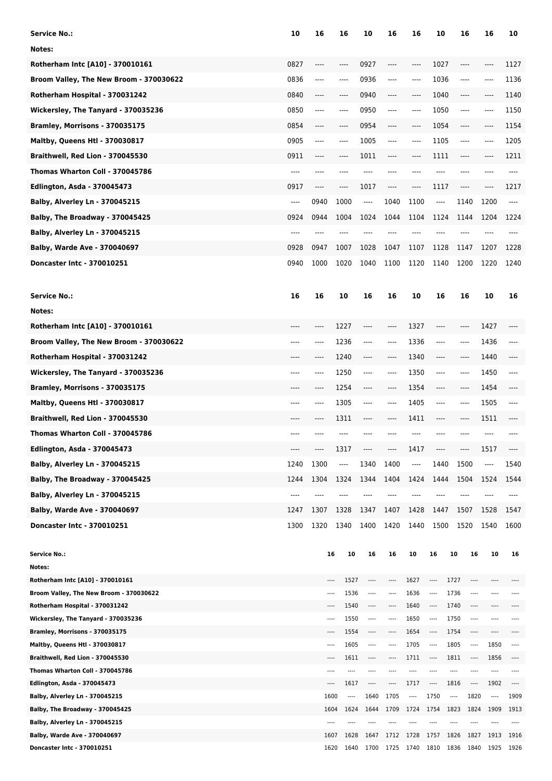| <b>Service No.:</b>                                                       | 10    | 16   | 16       |              | 10             | 16               | 16           | 10                       |                          | 16           | 16                | 10       |
|---------------------------------------------------------------------------|-------|------|----------|--------------|----------------|------------------|--------------|--------------------------|--------------------------|--------------|-------------------|----------|
| Notes:                                                                    |       |      |          |              |                |                  |              |                          |                          |              |                   |          |
| Rotherham Intc [A10] - 370010161                                          | 0827  | ---- |          |              | 0927           | ----             | $-----$      | 1027                     |                          | ----         |                   | 1127     |
| Broom Valley, The New Broom - 370030622                                   | 0836  | ---- | $---$    |              | 0936           | ----             | $---$        | 1036                     |                          | ----         | $-- -$            | 1136     |
| Rotherham Hospital - 370031242                                            | 0840  | ---- | $---$    |              | 0940           | ----             | $---$        | 1040                     |                          | ----         | ----              | 1140     |
| Wickersley, The Tanyard - 370035236                                       | 0850  | ---- | $---$    |              | 0950           | ----             | $---$        | 1050                     |                          | ----         |                   | 1150     |
| Bramley, Morrisons - 370035175                                            | 0854  | ---- |          |              | 0954           |                  | ----         | 1054                     |                          | ----         |                   | 1154     |
| Maltby, Queens Htl - 370030817                                            | 0905  | ---- | $---$    |              | 1005           | ----             | $---$        | 1105                     |                          | ----         | $---$             | 1205     |
| Braithwell, Red Lion - 370045530                                          | 0911  | ---- | $---$    |              | 1011           | ----             | $---$        | 1111                     |                          | ----         |                   | 1211     |
| Thomas Wharton Coll - 370045786                                           | ----  | ---- |          |              | ----           |                  |              | ----                     |                          | ----         |                   |          |
| <b>Edlington, Asda - 370045473</b>                                        | 0917  | ---- | ----     |              | 1017           | ----             | $-----$      | 1117                     |                          |              |                   | 1217     |
|                                                                           |       |      |          |              |                |                  |              |                          |                          | ----         |                   |          |
| <b>Balby, Alverley Ln - 370045215</b>                                     | $---$ | 0940 | 1000     |              | ----           | 1040             | 1100         | ----                     |                          | 1140         | 1200              | ----     |
| Balby, The Broadway - 370045425                                           | 0924  | 0944 | 1004     |              | 1024           | 1044             | 1104         | 1124                     |                          | 1144         | 1204              | 1224     |
| <b>Balby, Alverley Ln - 370045215</b>                                     | ----  | ---- | ----     |              |                | $---$            | $---$        | ----                     |                          | ----         |                   |          |
| Balby, Warde Ave - 370040697                                              | 0928  | 0947 | 1007     |              | 1028           | 1047             | 1107         | 1128                     |                          | 1147         | 1207              | 1228     |
| Doncaster Intc - 370010251                                                | 0940  | 1000 | 1020     |              | 1040           | 1100             | 1120         | 1140                     |                          | 1200         | 1220              | 1240     |
| <b>Service No.:</b>                                                       | 16    | 16   | 10       |              | 16             | 16               | 10           | 16                       |                          | 16           | 10                | 16       |
| Notes:                                                                    |       |      |          |              |                |                  |              |                          |                          |              |                   |          |
| Rotherham Intc [A10] - 370010161                                          |       |      | 1227     |              | ----           | $---$            | 1327         | ----                     |                          | ----         | 1427              |          |
| Broom Valley, The New Broom - 370030622                                   | ----  | ---- | 1236     |              | ----           | $---$            | 1336         | $-----$                  |                          | ----         | 1436              |          |
| Rotherham Hospital - 370031242                                            | ----  | ---- | 1240     |              | ----           | ----             | 1340         | $-----$                  |                          | ----         | 1440              | ----     |
| Wickersley, The Tanyard - 370035236                                       | ----  | ---- | 1250     |              | ----           | ----             | 1350         | ----                     |                          | ----         | 1450              | ----     |
| Bramley, Morrisons - 370035175                                            |       | ---- | 1254     |              | ----           | ----             | 1354         | ----                     |                          | ----         | 1454              | ----     |
| Maltby, Queens Htl - 370030817                                            | ----  | ---- | 1305     |              | ----           | $---$            | 1405         | $-----$                  |                          | ----         | 1505              | ----     |
| Braithwell, Red Lion - 370045530                                          | ----  | ---- | 1311     |              | ----           | ----             | 1411         | $-----$                  |                          | ----         | 1511              | ----     |
| Thomas Wharton Coll - 370045786                                           |       |      |          |              |                |                  |              |                          |                          |              |                   |          |
| <b>Edlington, Asda - 370045473</b>                                        |       |      | 1317     |              |                |                  | 1417         |                          |                          |              | 1517              |          |
| Balby, Alverley Ln - 370045215                                            | 1240  | 1300 | ----     |              | 1340           | 1400             | ----         | 1440                     |                          | 1500         | ----              | 1540     |
| Balby, The Broadway - 370045425                                           | 1244  | 1304 | 1324     |              | 1344           | 1404             | 1424         | 1444                     |                          | 1504         | 1524              | 1544     |
| Balby, Alverley Ln - 370045215                                            |       |      |          |              |                |                  |              |                          |                          |              |                   |          |
| <b>Balby, Warde Ave - 370040697</b>                                       | 1247  | 1307 | 1328     |              | 1347           | 1407             | 1428         | 1447                     |                          | 1507         | 1528              | 1547     |
|                                                                           | 1300  | 1320 | 1340     |              | 1400           | 1420             | 1440         | 1500                     |                          | 1520         | 1540              | 1600     |
| Doncaster Intc - 370010251                                                |       |      |          |              |                |                  |              |                          |                          |              |                   |          |
| <b>Service No.:</b>                                                       |       |      | 16       | 10           | 16             | 16               | 10           | 16                       | 10                       | 16           | 10                | 16       |
| Notes:                                                                    |       |      |          |              |                |                  |              |                          |                          |              |                   |          |
| Rotherham Intc [A10] - 370010161                                          |       |      | $^{***}$ | 1527         | ----           | ----             | 1627         | ----                     | 1727                     | ----         |                   |          |
| Broom Valley, The New Broom - 370030622<br>Rotherham Hospital - 370031242 |       |      | $---$    | 1536<br>1540 | $---$<br>$---$ | ----<br>$^{***}$ | 1636<br>1640 | ----<br>$\cdots$         | 1736<br>1740             | ----<br>---- | $\cdots$<br>$---$ |          |
| Wickersley, The Tanyard - 370035236                                       |       |      | $---$    | 1550         | $---$          | $---$            | 1650         | ----                     | 1750                     | ----         | $---$             |          |
| Bramley, Morrisons - 370035175                                            |       |      | $---$    | 1554         | $^{***}$       | $^{***}$         | 1654         | ----                     | 1754                     | ----         | $---$             |          |
| Maltby, Queens Htl - 370030817                                            |       |      | ----     | 1605         | ----           | ----             | 1705         | $\overline{\phantom{a}}$ | 1805                     | ----         | 1850              | ----     |
| Braithwell, Red Lion - 370045530                                          |       |      | $---$    | 1611         | ----           | $^{***}$         | 1711         | $\cdots$                 | 1811                     | ----         | 1856              | $\cdots$ |
| Thomas Wharton Coll - 370045786                                           |       |      |          | ----         | ----           |                  |              |                          | ----                     |              | $---$             |          |
| <b>Edlington, Asda - 370045473</b>                                        |       |      |          | 1617         | ----           |                  | 1717         | ----                     | 1816                     | ----         | 1902              | $\cdots$ |
| Balby, Alverley Ln - 370045215                                            |       |      | 1600     | $\cdots$     | 1640           | 1705             | ----         | 1750                     | $\overline{\phantom{a}}$ | 1820         | $\cdots$          | 1909     |
| Balby, The Broadway - 370045425<br>Balby, Alverley Ln - 370045215         |       |      | 1604     | 1624         | 1644           | 1709             | 1724         | 1754                     | 1823                     | 1824         | 1909<br>$---$     | 1913     |
| <b>Balby, Warde Ave - 370040697</b>                                       |       |      | 1607     | 1628         | 1647           | 1712             | 1728         | 1757                     | 1826                     | 1827         | 1913              | 1916     |
| Doncaster Intc - 370010251                                                |       |      | 1620     | 1640         | 1700           | 1725             | 1740         | 1810                     | 1836                     | 1840         | 1925              | 1926     |